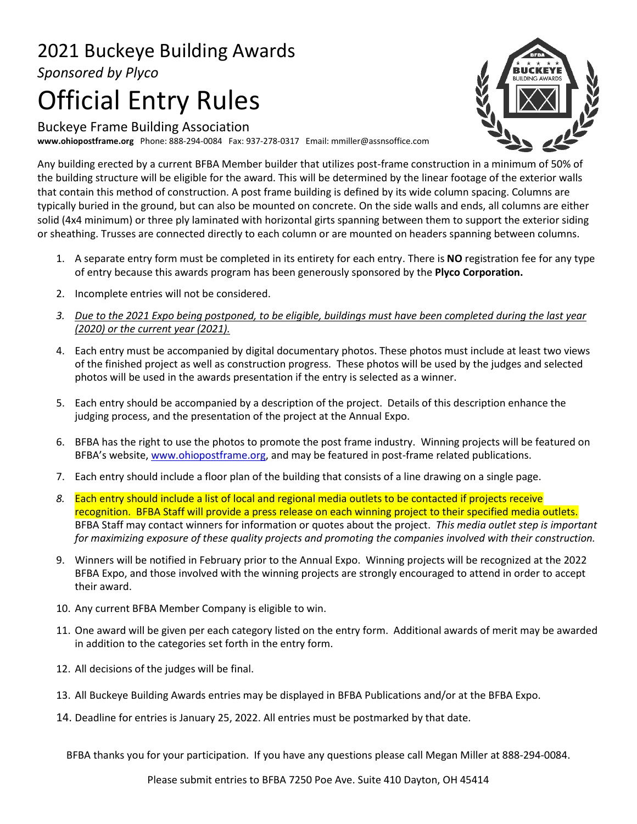## 2021 Buckeye Building Awards *Sponsored by Plyco*

## Official Entry Rules

Buckeye Frame Building Association **www.ohiopostframe.org** Phone: 888-294-0084 Fax: 937-278-0317 Email: mmiller@assnsoffice.com



Any building erected by a current BFBA Member builder that utilizes post-frame construction in a minimum of 50% of the building structure will be eligible for the award. This will be determined by the linear footage of the exterior walls that contain this method of construction. A post frame building is defined by its wide column spacing. Columns are typically buried in the ground, but can also be mounted on concrete. On the side walls and ends, all columns are either solid (4x4 minimum) or three ply laminated with horizontal girts spanning between them to support the exterior siding or sheathing. Trusses are connected directly to each column or are mounted on headers spanning between columns.

- 1. A separate entry form must be completed in its entirety for each entry. There is **NO** registration fee for any type of entry because this awards program has been generously sponsored by the **Plyco Corporation.**
- 2. Incomplete entries will not be considered.
- *3. Due to the 2021 Expo being postponed, to be eligible, buildings must have been completed during the last year (2020) or the current year (2021).*
- 4. Each entry must be accompanied by digital documentary photos. These photos must include at least two views of the finished project as well as construction progress. These photos will be used by the judges and selected photos will be used in the awards presentation if the entry is selected as a winner.
- 5. Each entry should be accompanied by a description of the project. Details of this description enhance the judging process, and the presentation of the project at the Annual Expo.
- 6. BFBA has the right to use the photos to promote the post frame industry. Winning projects will be featured on BFBA's website, [www.ohiopostframe.org,](http://www.ohiopostframe.org/) and may be featured in post-frame related publications.
- 7. Each entry should include a floor plan of the building that consists of a line drawing on a single page.
- *8.* Each entry should include a list of local and regional media outlets to be contacted if projects receive recognition. BFBA Staff will provide a press release on each winning project to their specified media outlets. BFBA Staff may contact winners for information or quotes about the project. *This media outlet step is important for maximizing exposure of these quality projects and promoting the companies involved with their construction.*
- 9. Winners will be notified in February prior to the Annual Expo. Winning projects will be recognized at the 2022 BFBA Expo, and those involved with the winning projects are strongly encouraged to attend in order to accept their award.
- 10. Any current BFBA Member Company is eligible to win.
- 11. One award will be given per each category listed on the entry form. Additional awards of merit may be awarded in addition to the categories set forth in the entry form.
- 12. All decisions of the judges will be final.
- 13. All Buckeye Building Awards entries may be displayed in BFBA Publications and/or at the BFBA Expo.
- 14. Deadline for entries is January 25, 2022. All entries must be postmarked by that date.
- BFBA thanks you for your participation. If you have any questions please call Megan Miller at 888-294-0084.

Please submit entries to BFBA 7250 Poe Ave. Suite 410 Dayton, OH 45414